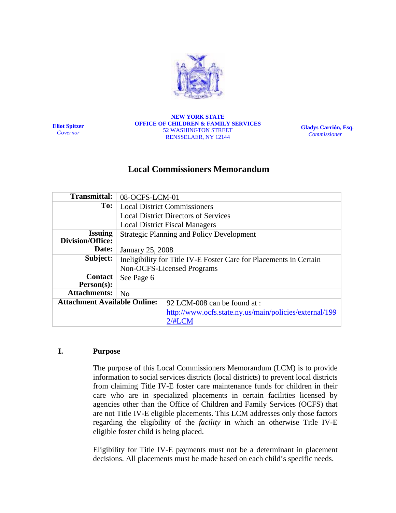

**Eliot Spitzer**  *Governor*

#### **NEW YORK STATE OFFICE OF CHILDREN & FAMILY SERVICES**  52 WASHINGTON STREET RENSSELAER, NY 12144

**Gladys Carrión, Esq.**   *Commissioner*

# **Local Commissioners Memorandum**

| <b>Transmittal:</b>                       | 08-OCFS-LCM-01                                                     |                                                        |  |
|-------------------------------------------|--------------------------------------------------------------------|--------------------------------------------------------|--|
| To:                                       | <b>Local District Commissioners</b>                                |                                                        |  |
|                                           | <b>Local District Directors of Services</b>                        |                                                        |  |
|                                           | <b>Local District Fiscal Managers</b>                              |                                                        |  |
| <b>Issuing</b><br><b>Division/Office:</b> | <b>Strategic Planning and Policy Development</b>                   |                                                        |  |
| Date:                                     | <b>January 25, 2008</b>                                            |                                                        |  |
| Subject:                                  | Ineligibility for Title IV-E Foster Care for Placements in Certain |                                                        |  |
|                                           | Non-OCFS-Licensed Programs                                         |                                                        |  |
| <b>Contact</b>                            | See Page 6                                                         |                                                        |  |
| Person(s):                                |                                                                    |                                                        |  |
| <b>Attachments:</b>                       | N <sub>0</sub>                                                     |                                                        |  |
| <b>Attachment Available Online:</b>       |                                                                    | 92 LCM-008 can be found at:                            |  |
|                                           |                                                                    | http://www.ocfs.state.ny.us/main/policies/external/199 |  |
|                                           |                                                                    | $2/$ #LCM                                              |  |

### **I. Purpose**

The purpose of this Local Commissioners Memorandum (LCM) is to provide information to social services districts (local districts) to prevent local districts from claiming Title IV-E foster care maintenance funds for children in their care who are in specialized placements in certain facilities licensed by agencies other than the Office of Children and Family Services (OCFS) that are not Title IV-E eligible placements. This LCM addresses only those factors regarding the eligibility of the *facility* in which an otherwise Title IV-E eligible foster child is being placed.

Eligibility for Title IV-E payments must not be a determinant in placement decisions. All placements must be made based on each child's specific needs.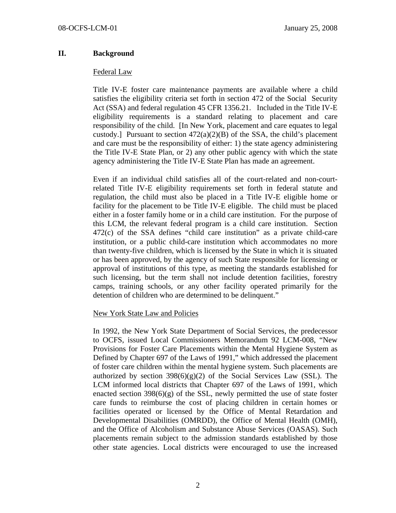# **II. Background**

#### Federal Law

Title IV-E foster care maintenance payments are available where a child satisfies the eligibility criteria set forth in section 472 of the Social Security Act (SSA) and federal regulation 45 CFR 1356.21. Included in the Title IV-E eligibility requirements is a standard relating to placement and care responsibility of the child. [In New York, placement and care equates to legal custody.] Pursuant to section  $472(a)(2)(B)$  of the SSA, the child's placement and care must be the responsibility of either: 1) the state agency administering the Title IV-E State Plan, or 2) any other public agency with which the state agency administering the Title IV-E State Plan has made an agreement.

Even if an individual child satisfies all of the court-related and non-courtrelated Title IV-E eligibility requirements set forth in federal statute and regulation, the child must also be placed in a Title IV-E eligible home or facility for the placement to be Title IV-E eligible. The child must be placed either in a foster family home or in a child care institution. For the purpose of this LCM, the relevant federal program is a child care institution. Section 472(c) of the SSA defines "child care institution" as a private child-care institution, or a public child-care institution which accommodates no more than twenty-five children, which is licensed by the State in which it is situated or has been approved, by the agency of such State responsible for licensing or approval of institutions of this type, as meeting the standards established for such licensing, but the term shall not include detention facilities, forestry camps, training schools, or any other facility operated primarily for the detention of children who are determined to be delinquent."

### New York State Law and Policies

In 1992, the New York State Department of Social Services, the predecessor to OCFS, issued Local Commissioners Memorandum 92 LCM-008, "New Provisions for Foster Care Placements within the Mental Hygiene System as Defined by Chapter 697 of the Laws of 1991," which addressed the placement of foster care children within the mental hygiene system. Such placements are authorized by section  $398(6)(g)(2)$  of the Social Services Law (SSL). The LCM informed local districts that Chapter 697 of the Laws of 1991, which enacted section  $398(6)(g)$  of the SSL, newly permitted the use of state foster care funds to reimburse the cost of placing children in certain homes or facilities operated or licensed by the Office of Mental Retardation and Developmental Disabilities (OMRDD), the Office of Mental Health (OMH), and the Office of Alcoholism and Substance Abuse Services (OASAS). Such placements remain subject to the admission standards established by those other state agencies. Local districts were encouraged to use the increased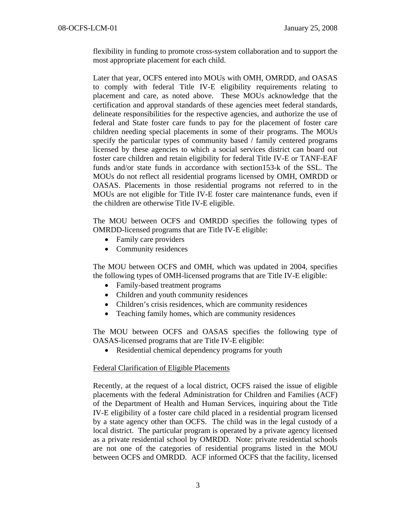flexibility in funding to promote cross-system collaboration and to support the most appropriate placement for each child.

Later that year, OCFS entered into MOUs with OMH, OMRDD, and OASAS to comply with federal Title IV-E eligibility requirements relating to placement and care, as noted above. These MOUs acknowledge that the certification and approval standards of these agencies meet federal standards, delineate responsibilities for the respective agencies, and authorize the use of federal and State foster care funds to pay for the placement of foster care children needing special placements in some of their programs. The MOUs specify the particular types of community based / family centered programs licensed by these agencies to which a social services district can board out foster care children and retain eligibility for federal Title IV-E or TANF-EAF funds and/or state funds in accordance with section153-k of the SSL. The MOUs do not reflect all residential programs licensed by OMH, OMRDD or OASAS. Placements in those residential programs not referred to in the MOUs are not eligible for Title IV-E foster care maintenance funds, even if the children are otherwise Title IV-E eligible.

The MOU between OCFS and OMRDD specifies the following types of OMRDD-licensed programs that are Title IV-E eligible:

- Family care providers
- Community residences

The MOU between OCFS and OMH, which was updated in 2004, specifies the following types of OMH-licensed programs that are Title IV-E eligible:

- Family-based treatment programs
- Children and youth community residences
- Children's crisis residences, which are community residences
- Teaching family homes, which are community residences

The MOU between OCFS and OASAS specifies the following type of OASAS-licensed programs that are Title IV-E eligible:

• Residential chemical dependency programs for youth

### Federal Clarification of Eligible Placements

Recently, at the request of a local district, OCFS raised the issue of eligible placements with the federal Administration for Children and Families (ACF) of the Department of Health and Human Services, inquiring about the Title IV-E eligibility of a foster care child placed in a residential program licensed by a state agency other than OCFS. The child was in the legal custody of a local district. The particular program is operated by a private agency licensed as a private residential school by OMRDD. Note: private residential schools are not one of the categories of residential programs listed in the MOU between OCFS and OMRDD. ACF informed OCFS that the facility, licensed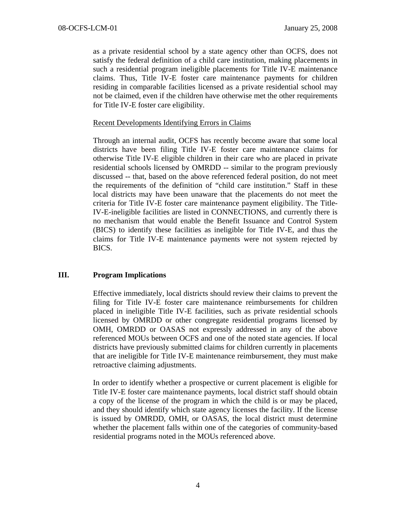as a private residential school by a state agency other than OCFS, does not satisfy the federal definition of a child care institution, making placements in such a residential program ineligible placements for Title IV-E maintenance claims. Thus, Title IV-E foster care maintenance payments for children residing in comparable facilities licensed as a private residential school may not be claimed, even if the children have otherwise met the other requirements for Title IV-E foster care eligibility.

# Recent Developments Identifying Errors in Claims

Through an internal audit, OCFS has recently become aware that some local districts have been filing Title IV-E foster care maintenance claims for otherwise Title IV-E eligible children in their care who are placed in private residential schools licensed by OMRDD -- similar to the program previously discussed -- that, based on the above referenced federal position, do not meet the requirements of the definition of "child care institution." Staff in these local districts may have been unaware that the placements do not meet the criteria for Title IV-E foster care maintenance payment eligibility. The Title-IV-E-ineligible facilities are listed in CONNECTIONS, and currently there is no mechanism that would enable the Benefit Issuance and Control System (BICS) to identify these facilities as ineligible for Title IV-E, and thus the claims for Title IV-E maintenance payments were not system rejected by BICS.

### **III. Program Implications**

Effective immediately, local districts should review their claims to prevent the filing for Title IV-E foster care maintenance reimbursements for children placed in ineligible Title IV-E facilities, such as private residential schools licensed by OMRDD or other congregate residential programs licensed by OMH, OMRDD or OASAS not expressly addressed in any of the above referenced MOUs between OCFS and one of the noted state agencies. If local districts have previously submitted claims for children currently in placements that are ineligible for Title IV-E maintenance reimbursement, they must make retroactive claiming adjustments.

In order to identify whether a prospective or current placement is eligible for Title IV-E foster care maintenance payments, local district staff should obtain a copy of the license of the program in which the child is or may be placed, and they should identify which state agency licenses the facility. If the license is issued by OMRDD, OMH, or OASAS, the local district must determine whether the placement falls within one of the categories of community-based residential programs noted in the MOUs referenced above.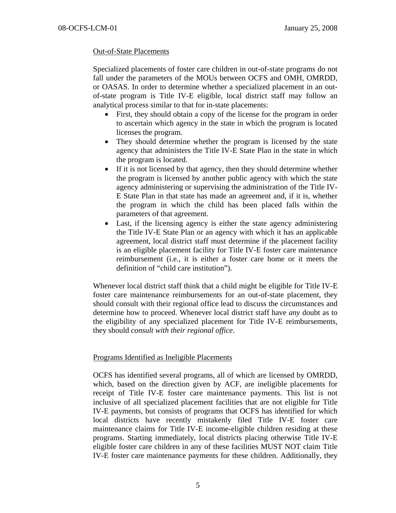# Out-of-State Placements

Specialized placements of foster care children in out-of-state programs do not fall under the parameters of the MOUs between OCFS and OMH, OMRDD, or OASAS. In order to determine whether a specialized placement in an outof-state program is Title IV-E eligible, local district staff may follow an analytical process similar to that for in-state placements:

- First, they should obtain a copy of the license for the program in order to ascertain which agency in the state in which the program is located licenses the program.
- They should determine whether the program is licensed by the state agency that administers the Title IV-E State Plan in the state in which the program is located.
- If it is not licensed by that agency, then they should determine whether the program is licensed by another public agency with which the state agency administering or supervising the administration of the Title IV-E State Plan in that state has made an agreement and, if it is, whether the program in which the child has been placed falls within the parameters of that agreement.
- Last, if the licensing agency is either the state agency administering the Title IV-E State Plan or an agency with which it has an applicable agreement, local district staff must determine if the placement facility is an eligible placement facility for Title IV-E foster care maintenance reimbursement (i.e., it is either a foster care home or it meets the definition of "child care institution").

Whenever local district staff think that a child might be eligible for Title IV-E foster care maintenance reimbursements for an out-of-state placement, they should consult with their regional office lead to discuss the circumstances and determine how to proceed. Whenever local district staff have *any* doubt as to the eligibility of any specialized placement for Title IV-E reimbursements, they should *consult with their regional office*.

### Programs Identified as Ineligible Placements

OCFS has identified several programs, all of which are licensed by OMRDD, which, based on the direction given by ACF, are ineligible placements for receipt of Title IV-E foster care maintenance payments. This list is not inclusive of all specialized placement facilities that are not eligible for Title IV-E payments, but consists of programs that OCFS has identified for which local districts have recently mistakenly filed Title IV-E foster care maintenance claims for Title IV-E income-eligible children residing at these programs. Starting immediately, local districts placing otherwise Title IV-E eligible foster care children in any of these facilities MUST NOT claim Title IV-E foster care maintenance payments for these children. Additionally, they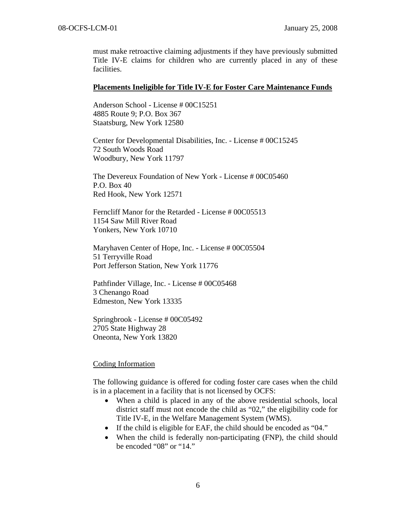must make retroactive claiming adjustments if they have previously submitted Title IV-E claims for children who are currently placed in any of these facilities.

#### **Placements Ineligible for Title IV-E for Foster Care Maintenance Funds**

Anderson School - License # 00C15251 4885 Route 9; P.O. Box 367 Staatsburg, New York 12580

Center for Developmental Disabilities, Inc. - License # 00C15245 72 South Woods Road Woodbury, New York 11797

The Devereux Foundation of New York - License # 00C05460 P.O. Box 40 Red Hook, New York 12571

Ferncliff Manor for the Retarded - License # 00C05513 1154 Saw Mill River Road Yonkers, New York 10710

Maryhaven Center of Hope, Inc. - License # 00C05504 51 Terryville Road Port Jefferson Station, New York 11776

Pathfinder Village, Inc. - License # 00C05468 3 Chenango Road Edmeston, New York 13335

Springbrook - License # 00C05492 2705 State Highway 28 Oneonta, New York 13820

#### Coding Information

The following guidance is offered for coding foster care cases when the child is in a placement in a facility that is not licensed by OCFS:

- When a child is placed in any of the above residential schools, local district staff must not encode the child as "02," the eligibility code for Title IV-E, in the Welfare Management System (WMS).
- If the child is eligible for EAF, the child should be encoded as "04."
- When the child is federally non-participating (FNP), the child should be encoded "08" or "14."